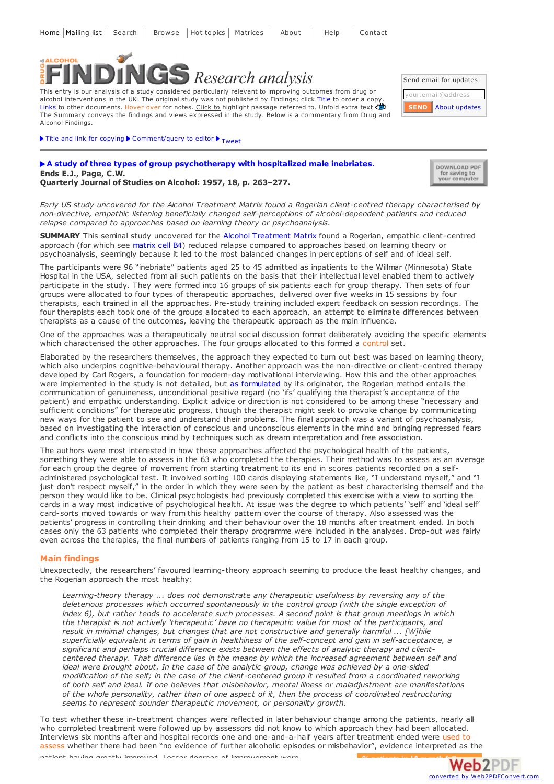

This entry is our analysis of a study considered particularly relevant to improving outcomes from drug or alcohol interventions in the UK. The original study was not published by Findings; click Title to order a copy. Links to other documents. Hover over for notes. Click to highlight passage referred to. Unfold extra text The Summary conveys the findings and views expressed in the study. Below is a commentary from Drug and Alcohol Findings.

| Send email for updates |                           |
|------------------------|---------------------------|
| your.email@address     |                           |
|                        | <b>SEND</b> About updates |

 $\blacktriangleright$  Title and link for [copying](javascript:;)  $\blacktriangleright$  [Comment/query](mailto:editor@findings.org.uk?Subject=Findings entry: A study of three types of group psychotherapy with hospitalized male inebriates&body=Dear Editor%0A%0ARegarding the Findings document:%0AA study of three types of group psychotherapy with hospitalized male inebriates%0Aat:%0Ahttps://findings.org.uk/PHP/dl.php?file=Ends_EJ_1.txt%0A%0AI would appreciate your response to this comment/query:%0A[Enter your comment/query here]) to editor  $\blacktriangleright$  <sub>[Tweet](https://twitter.com/share)</sub>

## **A study of three types of group [psychotherapy](http://psycnet.apa.org/?fa=main.doiLanding&uid=1959-01385-001) with hospitalized male inebriates. Ends E.J., Page, C.W. Quarterly Journal of Studies on Alcohol: 1957, 18, p. 263–277.**

| DOWNLOAD PDF  |
|---------------|
| for saving to |
| your computer |

converted by Web2PDFConvert.com

Web2PDF

Early US study uncovered for the Alcohol Treatment Matrix found a Rogerian client-centred therapy characterised by *non-directive, empathic listening beneficially changed self-perceptions of alcohol-dependent patients and reduced relapse compared to approaches based on learning theory or psychoanalysis.*

**SUMMARY** This seminal study uncovered for the Alcohol [Treatment](https://findings.org.uk/PHP/dl.php?file=amatrix.php&s=eb) Matrix found a Rogerian, empathic client-centred approach (for which see [matrix](https://findings.org.uk/PHP/dl.php?file=Matrix/Alcohol/B4.htm&s=eb&format=open#start) cell B4) reduced relapse compared to approaches based on learning theory or psychoanalysis, seemingly because it led to the most balanced changes in perceptions of self and of ideal self.

The participants were 96 "inebriate" patients aged 25 to 45 admitted as inpatients to the Willmar (Minnesota) State Hospital in the USA, selected from all such patients on the basis that their intellectual level enabled them to actively participate in the study. They were formed into 16 groups of six patients each for group therapy. Then sets of four groups were allocated to four types of therapeutic approaches, delivered over five weeks in 15 sessions by four therapists, each trained in all the approaches. Pre-study training included expert feedback on session recordings. The four therapists each took one of the groups allocated to each approach, an attempt to eliminate differences between therapists as a cause of the outcomes, leaving the therapeutic approach as the main influence.

One of the approaches was a therapeutically neutral social discussion format deliberately avoiding the specific elements which characterised the other approaches. The four groups allocated to this formed a control set.

Elaborated by the researchers themselves, the approach they expected to turn out best was based on learning theory, which also underpins cognitive-behavioural therapy. Another approach was the non-directive or client-centred therapy developed by Carl Rogers, a foundation for modern-day motivational interviewing. How this and the other approaches were implemented in the study is not detailed, but as [formulated](https://findings.org.uk/PHP/dl.php?file=Matrix/Alcohol/B4.htm&s=eb&format=open#start) by its originator, the Rogerian method entails the communication of genuineness, unconditional positive regard (no 'ifs' qualifying the therapist's acceptance of the patient) and empathic understanding. Explicit advice or direction is not considered to be among these "necessary and sufficient conditions" for therapeutic progress, though the therapist might seek to provoke change by communicating new ways for the patient to see and understand their problems. The final approach was a variant of psychoanalysis, based on investigating the interaction of conscious and unconscious elements in the mind and bringing repressed fears and conflicts into the conscious mind by techniques such as dream interpretation and free association.

The authors were most interested in how these approaches affected the psychological health of the patients, something they were able to assess in the 63 who completed the therapies. Their method was to assess as an average for each group the degree of movement from starting treatment to its end in scores patients recorded on a selfadministered psychological test. It involved sorting 100 cards displaying statements like, "I understand myself," and "I just don't respect myself," in the order in which they were seen by the patient as best characterising themself and the person they would like to be. Clinical psychologists had previously completed this exercise with a view to sorting the cards in a way most indicative of psychological health. At issue was the degree to which patients' 'self' and 'ideal self' card-sorts moved towards or way from this healthy pattern over the course of therapy. Also assessed was the patients' progress in controlling their drinking and their behaviour over the 18 months after treatment ended. In both cases only the 63 patients who completed their therapy programme were included in the analyses. Drop-out was fairly even across the therapies, the final numbers of patients ranging from 15 to 17 in each group.

## **Main findings**

Unexpectedly, the researchers' favoured learning-theory approach seeming to produce the least healthy changes, and the Rogerian approach the most healthy:

*Learning-theory therapy ... does not demonstrate any therapeutic usefulness by reversing any of the deleterious processes which occurred spontaneously in the control group (with the single exception of* index 6), but rather tends to accelerate such processes. A second point is that group meetings in which *the therapist is not actively 'therapeutic' have no therapeutic value for most of the participants, and result in minimal changes, but changes that are not constructive and generally harmful ... [W]hile superficially equivalent in terms of gain in healthiness of the self-concept and gain in self-acceptance, a significant and perhaps crucial difference exists between the effects of analytic therapy and clientcentered therapy. That difference lies in the means by which the increased agreement between self and ideal were brought about. In the case of the analytic group, change was achieved by a one-sided* modification of the self; in the case of the client-centered group it resulted from a coordinated reworking *of both self and ideal. If one believes that misbehavior, mental illness or maladjustment are manifestations of the whole personality, rather than of one aspect of it, then the process of coordinated restructuring seems to represent sounder therapeutic movement, or personality growth.*

To test whether these in-treatment changes were reflected in later behaviour change among the patients, nearly all who completed treatment were followed up by assessors did not know to which approach they had been allocated. Interviews six months after and hospital records one and one-and-a-half years after treatment ended were used to assess whether there had been "no evidence of further alcoholic episodes or misbehavior", evidence int[erpreted](http://www.web2pdfconvert.com?ref=PDF) as [the](http://www.web2pdfconvert.com?ref=PDF) patient having greatly improved. Lesser degrees of improvem